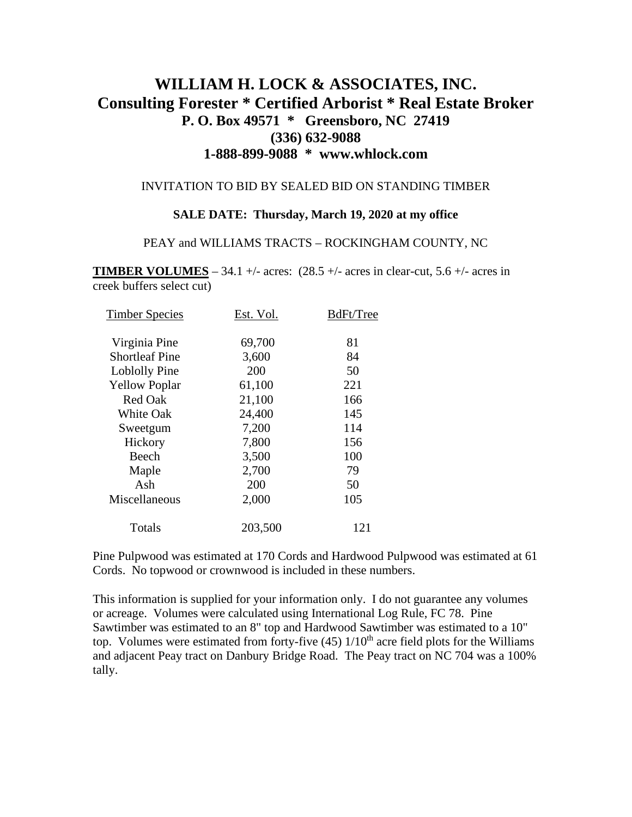# **WILLIAM H. LOCK & ASSOCIATES, INC. Consulting Forester \* Certified Arborist \* Real Estate Broker P. O. Box 49571 \* Greensboro, NC 27419 (336) 632-9088 1-888-899-9088 \* www.whlock.com**

### INVITATION TO BID BY SEALED BID ON STANDING TIMBER

### **SALE DATE: Thursday, March 19, 2020 at my office**

#### PEAY and WILLIAMS TRACTS – ROCKINGHAM COUNTY, NC

**TIMBER VOLUMES** – 34.1 +/- acres:  $(28.5 +/- \text{ acres in clear-cut}, 5.6 +/- \text{ acres in})$ creek buffers select cut)

| Est. Vol. | BdFt/Tree |
|-----------|-----------|
| 69,700    | 81        |
| 3,600     | 84        |
| 200       | 50        |
| 61,100    | 221       |
| 21,100    | 166       |
| 24,400    | 145       |
| 7,200     | 114       |
| 7,800     | 156       |
| 3,500     | 100       |
| 2,700     | 79        |
| 200       | 50        |
| 2,000     | 105       |
| 203,500   | 121       |
|           |           |

Pine Pulpwood was estimated at 170 Cords and Hardwood Pulpwood was estimated at 61 Cords. No topwood or crownwood is included in these numbers.

This information is supplied for your information only. I do not guarantee any volumes or acreage. Volumes were calculated using International Log Rule, FC 78. Pine Sawtimber was estimated to an 8" top and Hardwood Sawtimber was estimated to a 10" top. Volumes were estimated from forty-five  $(45)$   $1/10<sup>th</sup>$  acre field plots for the Williams and adjacent Peay tract on Danbury Bridge Road. The Peay tract on NC 704 was a 100% tally.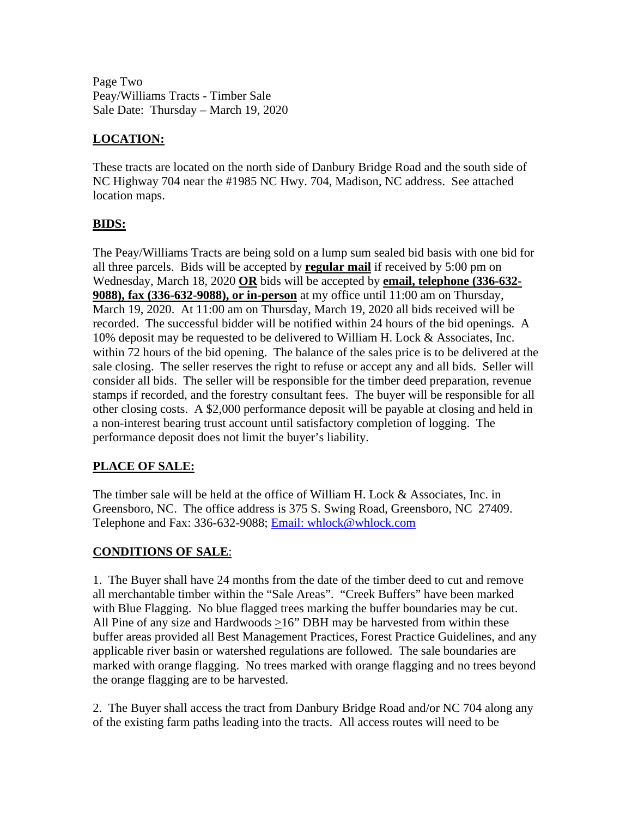Page Two Peay/Williams Tracts - Timber Sale Sale Date: Thursday – March 19, 2020

# **LOCATION:**

These tracts are located on the north side of Danbury Bridge Road and the south side of NC Highway 704 near the #1985 NC Hwy. 704, Madison, NC address. See attached location maps.

# **BIDS:**

The Peay/Williams Tracts are being sold on a lump sum sealed bid basis with one bid for all three parcels. Bids will be accepted by **regular mail** if received by 5:00 pm on Wednesday, March 18, 2020 **OR** bids will be accepted by **email, telephone (336-632- 9088), fax (336-632-9088), or in-person** at my office until 11:00 am on Thursday, March 19, 2020. At 11:00 am on Thursday, March 19, 2020 all bids received will be recorded. The successful bidder will be notified within 24 hours of the bid openings. A 10% deposit may be requested to be delivered to William H. Lock & Associates, Inc. within 72 hours of the bid opening. The balance of the sales price is to be delivered at the sale closing. The seller reserves the right to refuse or accept any and all bids. Seller will consider all bids. The seller will be responsible for the timber deed preparation, revenue stamps if recorded, and the forestry consultant fees. The buyer will be responsible for all other closing costs. A \$2,000 performance deposit will be payable at closing and held in a non-interest bearing trust account until satisfactory completion of logging. The performance deposit does not limit the buyer's liability.

# **PLACE OF SALE:**

The timber sale will be held at the office of William H. Lock & Associates, Inc. in Greensboro, NC. The office address is 375 S. Swing Road, Greensboro, NC 27409. Telephone and Fax: 336-632-9088; Email: whlock@whlock.com

# **CONDITIONS OF SALE**:

1. The Buyer shall have 24 months from the date of the timber deed to cut and remove all merchantable timber within the "Sale Areas". "Creek Buffers" have been marked with Blue Flagging. No blue flagged trees marking the buffer boundaries may be cut. All Pine of any size and Hardwoods >16" DBH may be harvested from within these buffer areas provided all Best Management Practices, Forest Practice Guidelines, and any applicable river basin or watershed regulations are followed. The sale boundaries are marked with orange flagging. No trees marked with orange flagging and no trees beyond the orange flagging are to be harvested.

2. The Buyer shall access the tract from Danbury Bridge Road and/or NC 704 along any of the existing farm paths leading into the tracts. All access routes will need to be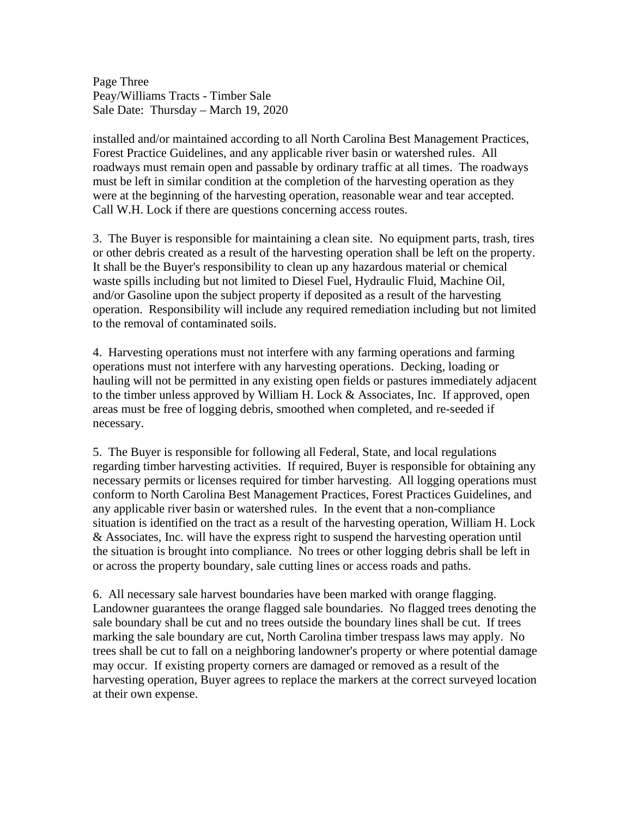Page Three Peay/Williams Tracts - Timber Sale Sale Date: Thursday – March 19, 2020

installed and/or maintained according to all North Carolina Best Management Practices, Forest Practice Guidelines, and any applicable river basin or watershed rules. All roadways must remain open and passable by ordinary traffic at all times. The roadways must be left in similar condition at the completion of the harvesting operation as they were at the beginning of the harvesting operation, reasonable wear and tear accepted. Call W.H. Lock if there are questions concerning access routes.

3. The Buyer is responsible for maintaining a clean site. No equipment parts, trash, tires or other debris created as a result of the harvesting operation shall be left on the property. It shall be the Buyer's responsibility to clean up any hazardous material or chemical waste spills including but not limited to Diesel Fuel, Hydraulic Fluid, Machine Oil, and/or Gasoline upon the subject property if deposited as a result of the harvesting operation. Responsibility will include any required remediation including but not limited to the removal of contaminated soils.

4. Harvesting operations must not interfere with any farming operations and farming operations must not interfere with any harvesting operations. Decking, loading or hauling will not be permitted in any existing open fields or pastures immediately adjacent to the timber unless approved by William H. Lock & Associates, Inc. If approved, open areas must be free of logging debris, smoothed when completed, and re-seeded if necessary.

5. The Buyer is responsible for following all Federal, State, and local regulations regarding timber harvesting activities. If required, Buyer is responsible for obtaining any necessary permits or licenses required for timber harvesting. All logging operations must conform to North Carolina Best Management Practices, Forest Practices Guidelines, and any applicable river basin or watershed rules. In the event that a non-compliance situation is identified on the tract as a result of the harvesting operation, William H. Lock & Associates, Inc. will have the express right to suspend the harvesting operation until the situation is brought into compliance. No trees or other logging debris shall be left in or across the property boundary, sale cutting lines or access roads and paths.

6. All necessary sale harvest boundaries have been marked with orange flagging. Landowner guarantees the orange flagged sale boundaries. No flagged trees denoting the sale boundary shall be cut and no trees outside the boundary lines shall be cut. If trees marking the sale boundary are cut, North Carolina timber trespass laws may apply. No trees shall be cut to fall on a neighboring landowner's property or where potential damage may occur. If existing property corners are damaged or removed as a result of the harvesting operation, Buyer agrees to replace the markers at the correct surveyed location at their own expense.